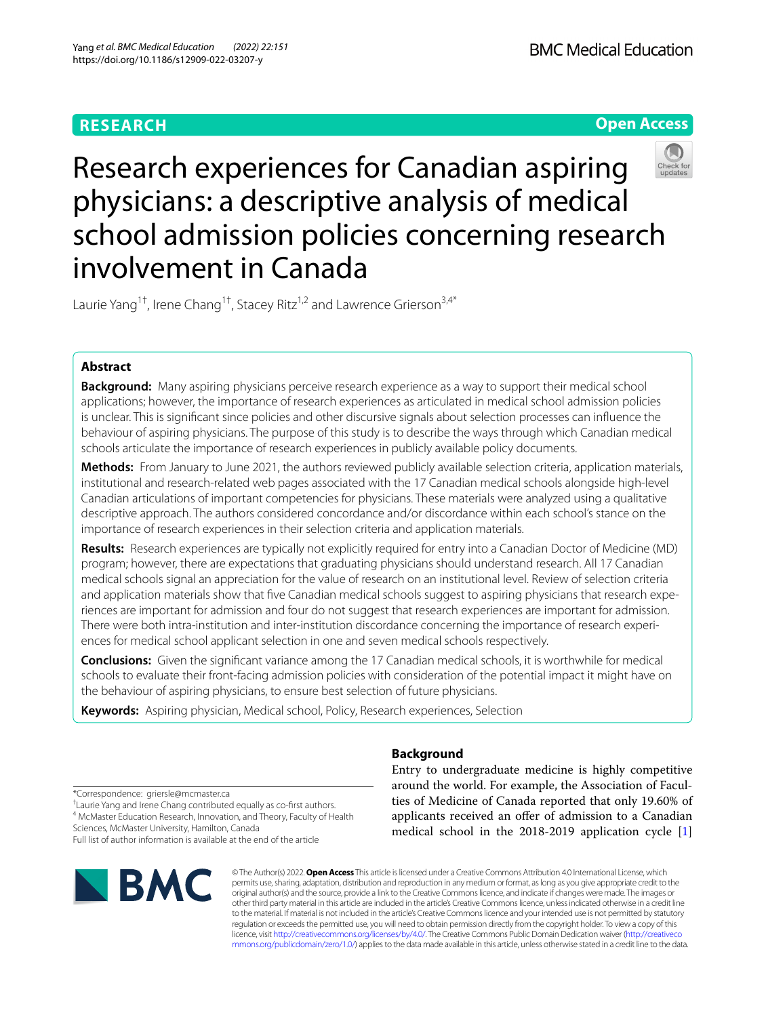## **RESEARCH**

## **Open Access**



# Research experiences for Canadian aspiring physicians: a descriptive analysis of medical school admission policies concerning research involvement in Canada

Laurie Yang<sup>1†</sup>, Irene Chang<sup>1†</sup>, Stacey Ritz<sup>1,2</sup> and Lawrence Grierson<sup>3,4\*</sup>

## **Abstract**

**Background:** Many aspiring physicians perceive research experience as a way to support their medical school applications; however, the importance of research experiences as articulated in medical school admission policies is unclear. This is signifcant since policies and other discursive signals about selection processes can infuence the behaviour of aspiring physicians. The purpose of this study is to describe the ways through which Canadian medical schools articulate the importance of research experiences in publicly available policy documents.

**Methods:** From January to June 2021, the authors reviewed publicly available selection criteria, application materials, institutional and research-related web pages associated with the 17 Canadian medical schools alongside high-level Canadian articulations of important competencies for physicians. These materials were analyzed using a qualitative descriptive approach. The authors considered concordance and/or discordance within each school's stance on the importance of research experiences in their selection criteria and application materials.

**Results:** Research experiences are typically not explicitly required for entry into a Canadian Doctor of Medicine (MD) program; however, there are expectations that graduating physicians should understand research. All 17 Canadian medical schools signal an appreciation for the value of research on an institutional level. Review of selection criteria and application materials show that five Canadian medical schools suggest to aspiring physicians that research experiences are important for admission and four do not suggest that research experiences are important for admission. There were both intra-institution and inter-institution discordance concerning the importance of research experiences for medical school applicant selection in one and seven medical schools respectively.

**Conclusions:** Given the signifcant variance among the 17 Canadian medical schools, it is worthwhile for medical schools to evaluate their front-facing admission policies with consideration of the potential impact it might have on the behaviour of aspiring physicians, to ensure best selection of future physicians.

**Keywords:** Aspiring physician, Medical school, Policy, Research experiences, Selection

## **Background**

Entry to undergraduate medicine is highly competitive around the world. For example, the Association of Faculties of Medicine of Canada reported that only 19.60% of applicants received an offer of admission to a Canadian medical school in the 2018-2019 application cycle [\[1](#page-8-0)]

\*Correspondence: griersle@mcmaster.ca

† Laurie Yang and Irene Chang contributed equally as co-frst authors.

<sup>4</sup> McMaster Education Research, Innovation, and Theory, Faculty of Health Sciences, McMaster University, Hamilton, Canada Full list of author information is available at the end of the article



© The Author(s) 2022. **Open Access** This article is licensed under a Creative Commons Attribution 4.0 International License, which permits use, sharing, adaptation, distribution and reproduction in any medium or format, as long as you give appropriate credit to the original author(s) and the source, provide a link to the Creative Commons licence, and indicate if changes were made. The images or other third party material in this article are included in the article's Creative Commons licence, unless indicated otherwise in a credit line to the material. If material is not included in the article's Creative Commons licence and your intended use is not permitted by statutory regulation or exceeds the permitted use, you will need to obtain permission directly from the copyright holder. To view a copy of this licence, visit [http://creativecommons.org/licenses/by/4.0/.](http://creativecommons.org/licenses/by/4.0/) The Creative Commons Public Domain Dedication waiver ([http://creativeco](http://creativecommons.org/publicdomain/zero/1.0/) [mmons.org/publicdomain/zero/1.0/](http://creativecommons.org/publicdomain/zero/1.0/)) applies to the data made available in this article, unless otherwise stated in a credit line to the data.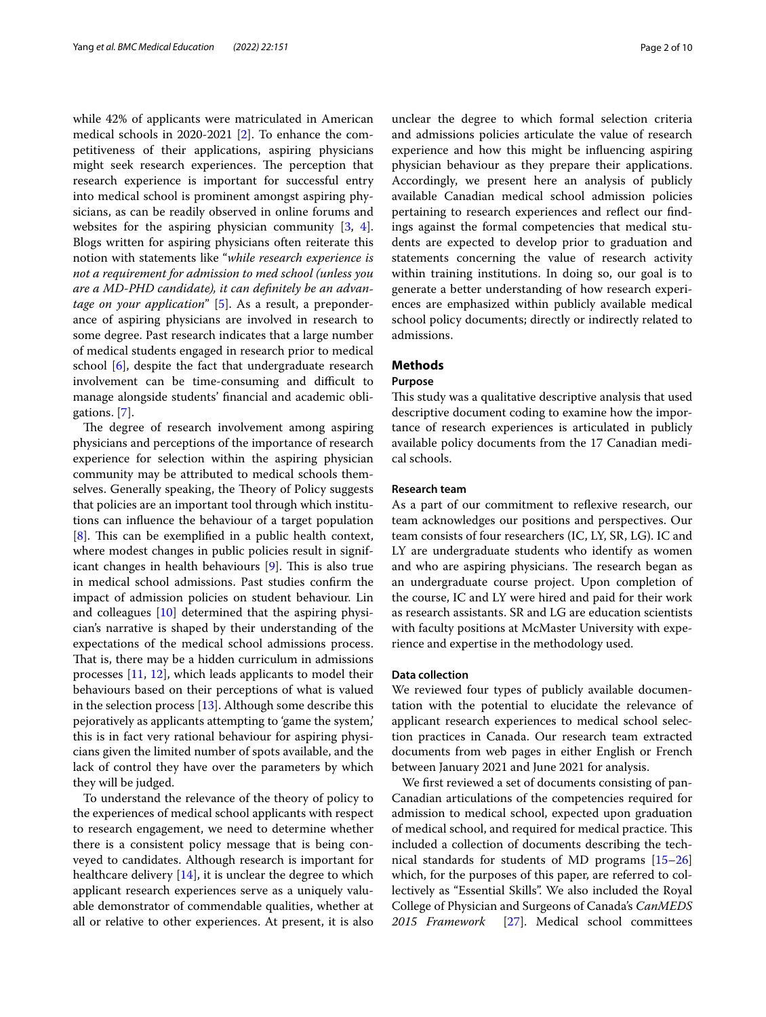while 42% of applicants were matriculated in American medical schools in 2020-2021 [\[2](#page-8-1)]. To enhance the competitiveness of their applications, aspiring physicians might seek research experiences. The perception that research experience is important for successful entry into medical school is prominent amongst aspiring physicians, as can be readily observed in online forums and websites for the aspiring physician community [[3,](#page-8-2) [4](#page-8-3)]. Blogs written for aspiring physicians often reiterate this notion with statements like "*while research experience is not a requirement for admission to med school (unless you are a MD-PHD candidate), it can defnitely be an advantage on your application*" [[5\]](#page-8-4). As a result, a preponderance of aspiring physicians are involved in research to some degree. Past research indicates that a large number of medical students engaged in research prior to medical school [\[6](#page-8-5)], despite the fact that undergraduate research involvement can be time-consuming and difficult to manage alongside students' fnancial and academic obligations. [\[7\]](#page-8-6).

The degree of research involvement among aspiring physicians and perceptions of the importance of research experience for selection within the aspiring physician community may be attributed to medical schools themselves. Generally speaking, the Theory of Policy suggests that policies are an important tool through which institutions can infuence the behaviour of a target population [[8\]](#page-8-7). This can be exemplified in a public health context, where modest changes in public policies result in significant changes in health behaviours  $[9]$ . This is also true in medical school admissions. Past studies confrm the impact of admission policies on student behaviour. Lin and colleagues [\[10](#page-8-9)] determined that the aspiring physician's narrative is shaped by their understanding of the expectations of the medical school admissions process. That is, there may be a hidden curriculum in admissions processes [[11,](#page-8-10) [12\]](#page-8-11), which leads applicants to model their behaviours based on their perceptions of what is valued in the selection process [[13\]](#page-8-12). Although some describe this pejoratively as applicants attempting to 'game the system,' this is in fact very rational behaviour for aspiring physicians given the limited number of spots available, and the lack of control they have over the parameters by which they will be judged.

To understand the relevance of the theory of policy to the experiences of medical school applicants with respect to research engagement, we need to determine whether there is a consistent policy message that is being conveyed to candidates. Although research is important for healthcare delivery [\[14](#page-8-13)], it is unclear the degree to which applicant research experiences serve as a uniquely valuable demonstrator of commendable qualities, whether at all or relative to other experiences. At present, it is also unclear the degree to which formal selection criteria and admissions policies articulate the value of research experience and how this might be infuencing aspiring physician behaviour as they prepare their applications. Accordingly, we present here an analysis of publicly available Canadian medical school admission policies pertaining to research experiences and refect our fndings against the formal competencies that medical students are expected to develop prior to graduation and statements concerning the value of research activity within training institutions. In doing so, our goal is to generate a better understanding of how research experiences are emphasized within publicly available medical school policy documents; directly or indirectly related to admissions.

## **Methods**

## **Purpose**

This study was a qualitative descriptive analysis that used descriptive document coding to examine how the importance of research experiences is articulated in publicly available policy documents from the 17 Canadian medical schools.

## **Research team**

As a part of our commitment to refexive research, our team acknowledges our positions and perspectives. Our team consists of four researchers (IC, LY, SR, LG). IC and LY are undergraduate students who identify as women and who are aspiring physicians. The research began as an undergraduate course project. Upon completion of the course, IC and LY were hired and paid for their work as research assistants. SR and LG are education scientists with faculty positions at McMaster University with experience and expertise in the methodology used.

### **Data collection**

We reviewed four types of publicly available documentation with the potential to elucidate the relevance of applicant research experiences to medical school selection practices in Canada. Our research team extracted documents from web pages in either English or French between January 2021 and June 2021 for analysis.

We frst reviewed a set of documents consisting of pan-Canadian articulations of the competencies required for admission to medical school, expected upon graduation of medical school, and required for medical practice. This included a collection of documents describing the technical standards for students of MD programs [[15–](#page-8-14)[26](#page-8-15)] which, for the purposes of this paper, are referred to collectively as "Essential Skills". We also included the Royal College of Physician and Surgeons of Canada's *CanMEDS 2015 Framework*  [[27](#page-8-16)]. Medical school committees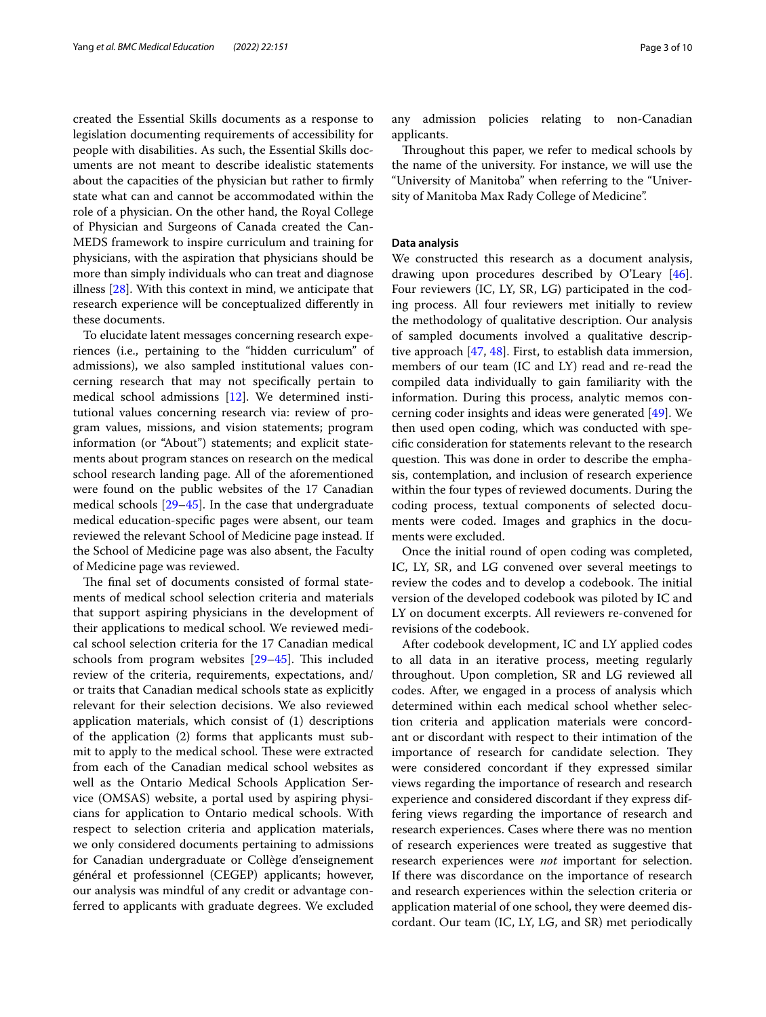created the Essential Skills documents as a response to legislation documenting requirements of accessibility for people with disabilities. As such, the Essential Skills documents are not meant to describe idealistic statements about the capacities of the physician but rather to frmly state what can and cannot be accommodated within the role of a physician. On the other hand, the Royal College of Physician and Surgeons of Canada created the Can-MEDS framework to inspire curriculum and training for physicians, with the aspiration that physicians should be more than simply individuals who can treat and diagnose illness [[28\]](#page-8-17). With this context in mind, we anticipate that research experience will be conceptualized diferently in these documents.

To elucidate latent messages concerning research experiences (i.e., pertaining to the "hidden curriculum" of admissions), we also sampled institutional values concerning research that may not specifcally pertain to medical school admissions [\[12](#page-8-11)]. We determined institutional values concerning research via: review of program values, missions, and vision statements; program information (or "About") statements; and explicit statements about program stances on research on the medical school research landing page. All of the aforementioned were found on the public websites of the 17 Canadian medical schools [[29–](#page-8-18)[45](#page-8-19)]. In the case that undergraduate medical education-specifc pages were absent, our team reviewed the relevant School of Medicine page instead. If the School of Medicine page was also absent, the Faculty of Medicine page was reviewed.

The final set of documents consisted of formal statements of medical school selection criteria and materials that support aspiring physicians in the development of their applications to medical school. We reviewed medical school selection criteria for the 17 Canadian medical schools from program websites  $[29-45]$  $[29-45]$  $[29-45]$ . This included review of the criteria, requirements, expectations, and/ or traits that Canadian medical schools state as explicitly relevant for their selection decisions. We also reviewed application materials, which consist of (1) descriptions of the application (2) forms that applicants must submit to apply to the medical school. These were extracted from each of the Canadian medical school websites as well as the Ontario Medical Schools Application Service (OMSAS) website, a portal used by aspiring physicians for application to Ontario medical schools. With respect to selection criteria and application materials, we only considered documents pertaining to admissions for Canadian undergraduate or Collège d'enseignement général et professionnel (CEGEP) applicants; however, our analysis was mindful of any credit or advantage conferred to applicants with graduate degrees. We excluded any admission policies relating to non-Canadian applicants.

Throughout this paper, we refer to medical schools by the name of the university. For instance, we will use the "University of Manitoba" when referring to the "University of Manitoba Max Rady College of Medicine''.

#### **Data analysis**

We constructed this research as a document analysis, drawing upon procedures described by O'Leary [\[46](#page-8-20)]. Four reviewers (IC, LY, SR, LG) participated in the coding process. All four reviewers met initially to review the methodology of qualitative description. Our analysis of sampled documents involved a qualitative descriptive approach [\[47](#page-8-21), [48\]](#page-9-0). First, to establish data immersion, members of our team (IC and LY) read and re-read the compiled data individually to gain familiarity with the information. During this process, analytic memos concerning coder insights and ideas were generated [\[49\]](#page-9-1). We then used open coding, which was conducted with specifc consideration for statements relevant to the research question. This was done in order to describe the emphasis, contemplation, and inclusion of research experience within the four types of reviewed documents. During the coding process, textual components of selected documents were coded. Images and graphics in the documents were excluded.

Once the initial round of open coding was completed, IC, LY, SR, and LG convened over several meetings to review the codes and to develop a codebook. The initial version of the developed codebook was piloted by IC and LY on document excerpts. All reviewers re-convened for revisions of the codebook.

After codebook development, IC and LY applied codes to all data in an iterative process, meeting regularly throughout. Upon completion, SR and LG reviewed all codes. After, we engaged in a process of analysis which determined within each medical school whether selection criteria and application materials were concordant or discordant with respect to their intimation of the importance of research for candidate selection. They were considered concordant if they expressed similar views regarding the importance of research and research experience and considered discordant if they express differing views regarding the importance of research and research experiences. Cases where there was no mention of research experiences were treated as suggestive that research experiences were *not* important for selection. If there was discordance on the importance of research and research experiences within the selection criteria or application material of one school, they were deemed discordant. Our team (IC, LY, LG, and SR) met periodically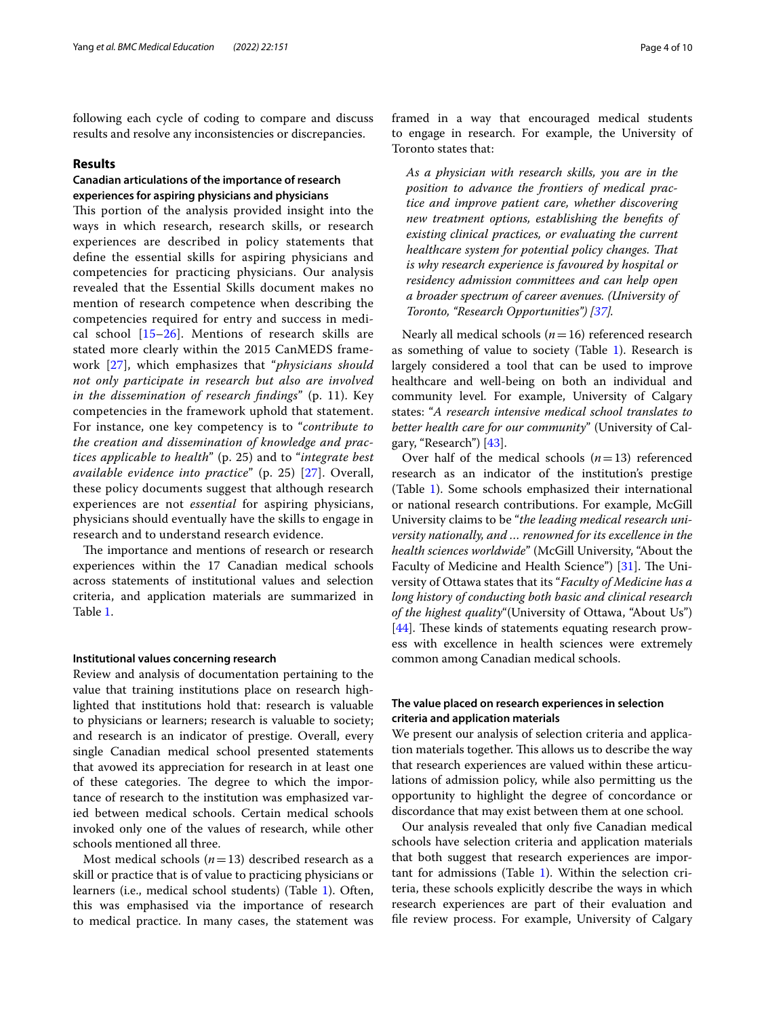following each cycle of coding to compare and discuss results and resolve any inconsistencies or discrepancies.

#### **Results**

## **Canadian articulations of the importance of research experiences for aspiring physicians and physicians**

This portion of the analysis provided insight into the ways in which research, research skills, or research experiences are described in policy statements that defne the essential skills for aspiring physicians and competencies for practicing physicians. Our analysis revealed that the Essential Skills document makes no mention of research competence when describing the competencies required for entry and success in medical school  $[15-26]$  $[15-26]$  $[15-26]$ . Mentions of research skills are stated more clearly within the 2015 CanMEDS framework [[27](#page-8-16)], which emphasizes that "*physicians should not only participate in research but also are involved in the dissemination of research fndings*" (p. 11). Key competencies in the framework uphold that statement. For instance, one key competency is to "*contribute to the creation and dissemination of knowledge and practices applicable to health*" (p. 25) and to "*integrate best available evidence into practice*" (p. 25) [[27](#page-8-16)]. Overall, these policy documents suggest that although research experiences are not *essential* for aspiring physicians, physicians should eventually have the skills to engage in research and to understand research evidence.

The importance and mentions of research or research experiences within the 17 Canadian medical schools across statements of institutional values and selection criteria, and application materials are summarized in Table [1](#page-4-0).

### **Institutional values concerning research**

Review and analysis of documentation pertaining to the value that training institutions place on research highlighted that institutions hold that: research is valuable to physicians or learners; research is valuable to society; and research is an indicator of prestige. Overall, every single Canadian medical school presented statements that avowed its appreciation for research in at least one of these categories. The degree to which the importance of research to the institution was emphasized varied between medical schools. Certain medical schools invoked only one of the values of research, while other schools mentioned all three.

Most medical schools (*n*=13) described research as a skill or practice that is of value to practicing physicians or learners (i.e., medical school students) (Table [1](#page-4-0)). Often, this was emphasised via the importance of research to medical practice. In many cases, the statement was framed in a way that encouraged medical students to engage in research. For example, the University of Toronto states that:

*As a physician with research skills, you are in the position to advance the frontiers of medical practice and improve patient care, whether discovering new treatment options, establishing the benefts of existing clinical practices, or evaluating the current healthcare system for potential policy changes. Tat is why research experience is favoured by hospital or residency admission committees and can help open a broader spectrum of career avenues. (University of Toronto, "Research Opportunities") [\[37](#page-8-22)].*

Nearly all medical schools (*n*=16) referenced research as something of value to society (Table [1\)](#page-4-0). Research is largely considered a tool that can be used to improve healthcare and well-being on both an individual and community level. For example, University of Calgary states: "*A research intensive medical school translates to better health care for our community*" (University of Calgary, "Research") [\[43\]](#page-8-23).

Over half of the medical schools  $(n=13)$  referenced research as an indicator of the institution's prestige (Table [1](#page-4-0)). Some schools emphasized their international or national research contributions. For example, McGill University claims to be "*the leading medical research university nationally, and … renowned for its excellence in the health sciences worldwide*" (McGill University, "About the Faculty of Medicine and Health Science") [\[31\]](#page-8-24). The University of Ottawa states that its "*Faculty of Medicine has a long history of conducting both basic and clinical research of the highest quality*"(University of Ottawa, "About Us")  $[44]$  $[44]$ . These kinds of statements equating research prowess with excellence in health sciences were extremely common among Canadian medical schools.

## **The value placed on research experiences in selection criteria and application materials**

We present our analysis of selection criteria and application materials together. This allows us to describe the way that research experiences are valued within these articulations of admission policy, while also permitting us the opportunity to highlight the degree of concordance or discordance that may exist between them at one school.

Our analysis revealed that only fve Canadian medical schools have selection criteria and application materials that both suggest that research experiences are important for admissions (Table [1\)](#page-4-0). Within the selection criteria, these schools explicitly describe the ways in which research experiences are part of their evaluation and fle review process. For example, University of Calgary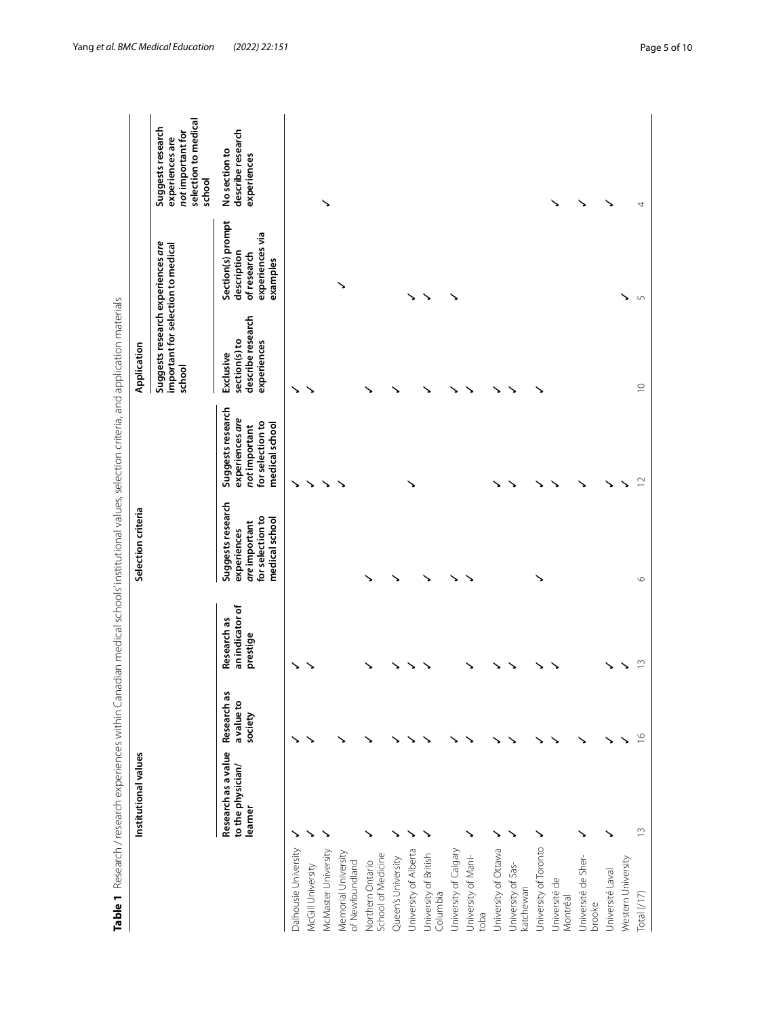<span id="page-4-0"></span>

|                                        | Institutional values                                |                                      |                                            | Selection criteria                                                                      |                                                                                             | Application                                                                       |                                                                                |                                                                                             |
|----------------------------------------|-----------------------------------------------------|--------------------------------------|--------------------------------------------|-----------------------------------------------------------------------------------------|---------------------------------------------------------------------------------------------|-----------------------------------------------------------------------------------|--------------------------------------------------------------------------------|---------------------------------------------------------------------------------------------|
|                                        |                                                     |                                      |                                            |                                                                                         |                                                                                             | Suggests research experiences are<br>important for selection to medical<br>school |                                                                                | selection to medical<br>Suggests research<br>not important for<br>experiences are<br>school |
|                                        | Research as a value<br>to the physician/<br>learner | Research as<br>a value to<br>society | an indicator of<br>Research as<br>prestige | Suggests research<br>for selection to<br>medical school<br>are important<br>experiences | Suggests research<br>experiences are<br>for selection to<br>medical school<br>not important | describe research<br>section(s) to<br>experiences<br>Exclusive                    | Section(s) prompt<br>experiences via<br>description<br>of research<br>examples | describe research<br>No section to<br>experiences                                           |
| <b>Dalhousie University</b>            |                                                     | ↘                                    | ↘                                          |                                                                                         | ↘                                                                                           |                                                                                   |                                                                                |                                                                                             |
| McGill University                      |                                                     |                                      | ↘                                          |                                                                                         |                                                                                             |                                                                                   |                                                                                |                                                                                             |
| McMaster University                    |                                                     |                                      |                                            |                                                                                         |                                                                                             |                                                                                   |                                                                                |                                                                                             |
| Memorial University<br>of Newfoundland |                                                     | ↘                                    |                                            |                                                                                         |                                                                                             |                                                                                   |                                                                                |                                                                                             |
| School of Medicine<br>Northern Ontario |                                                     |                                      |                                            |                                                                                         |                                                                                             |                                                                                   |                                                                                |                                                                                             |
| Queen's University                     |                                                     |                                      |                                            |                                                                                         |                                                                                             |                                                                                   |                                                                                |                                                                                             |
| University of Alberta                  |                                                     |                                      |                                            |                                                                                         |                                                                                             |                                                                                   |                                                                                |                                                                                             |
| University of British<br>Columbia      |                                                     |                                      |                                            |                                                                                         |                                                                                             |                                                                                   |                                                                                |                                                                                             |
| Jniversity of Calgary                  |                                                     |                                      |                                            |                                                                                         |                                                                                             |                                                                                   |                                                                                |                                                                                             |
| University of Mani-<br>toba            |                                                     |                                      |                                            |                                                                                         |                                                                                             |                                                                                   |                                                                                |                                                                                             |
| University of Ottawa                   | ↘                                                   |                                      | ↘                                          |                                                                                         |                                                                                             |                                                                                   |                                                                                |                                                                                             |
| University of Sas-<br>katchewan        | ↘                                                   |                                      | ↘                                          |                                                                                         |                                                                                             |                                                                                   |                                                                                |                                                                                             |
| University of Toronto                  |                                                     |                                      |                                            | ↘                                                                                       |                                                                                             |                                                                                   |                                                                                |                                                                                             |
| Université de<br>Montréal              |                                                     |                                      | ↘                                          |                                                                                         |                                                                                             |                                                                                   |                                                                                |                                                                                             |
| Université de Sher-<br>brooke          | ↘                                                   |                                      |                                            |                                                                                         |                                                                                             |                                                                                   |                                                                                |                                                                                             |
| Université Laval                       |                                                     |                                      |                                            |                                                                                         |                                                                                             |                                                                                   |                                                                                |                                                                                             |
| Western University                     |                                                     |                                      | ↘                                          |                                                                                         |                                                                                             |                                                                                   |                                                                                |                                                                                             |
| Total (/17)                            | $\frac{3}{2}$                                       | $\frac{\infty}{2}$                   | $\widetilde{\Box}$                         | $\circ$                                                                                 | $\approx$                                                                                   | $\supseteq$                                                                       | $\sqrt{2}$                                                                     |                                                                                             |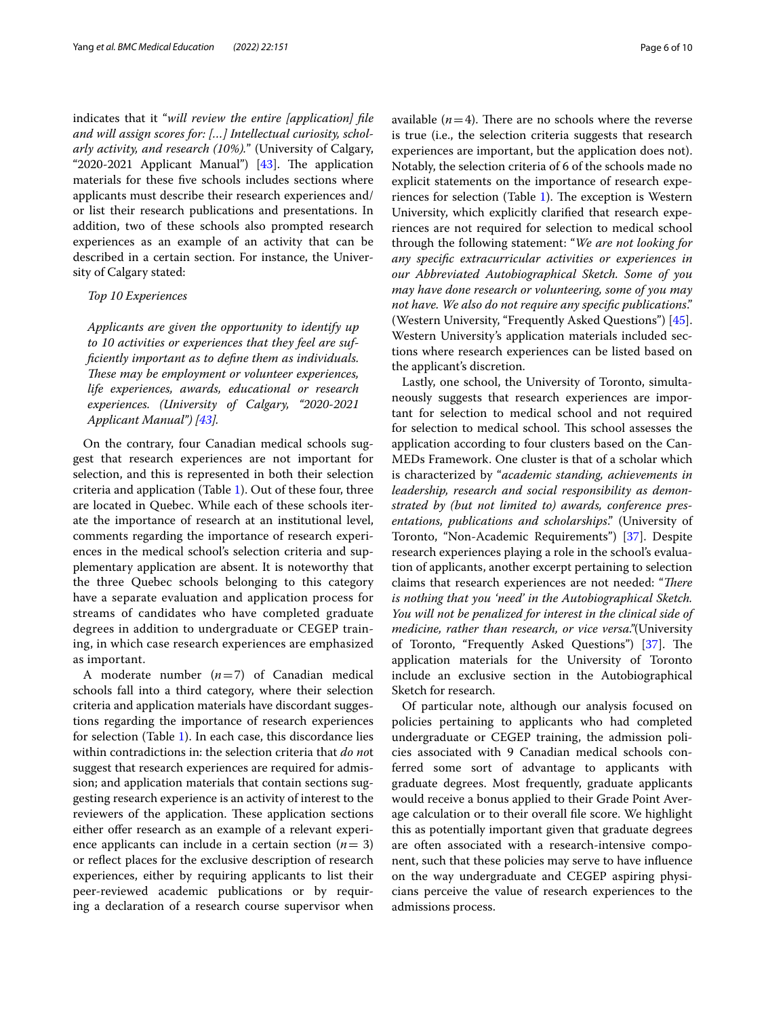indicates that it "*will review the entire [application] fle and will assign scores for: […] Intellectual curiosity, scholarly activity, and research (10%).*" (University of Calgary, "2020-2021 Applicant Manual")  $[43]$  $[43]$  $[43]$ . The application materials for these fve schools includes sections where applicants must describe their research experiences and/ or list their research publications and presentations. In addition, two of these schools also prompted research experiences as an example of an activity that can be described in a certain section. For instance, the University of Calgary stated:

## *Top 10 Experiences*

*Applicants are given the opportunity to identify up to 10 activities or experiences that they feel are suffciently important as to defne them as individuals. These may be employment or volunteer experiences, life experiences, awards, educational or research experiences. (University of Calgary, "2020-2021 Applicant Manual") [[43\]](#page-8-23).*

On the contrary, four Canadian medical schools suggest that research experiences are not important for selection, and this is represented in both their selection criteria and application (Table [1](#page-4-0)). Out of these four, three are located in Quebec. While each of these schools iterate the importance of research at an institutional level, comments regarding the importance of research experiences in the medical school's selection criteria and supplementary application are absent. It is noteworthy that the three Quebec schools belonging to this category have a separate evaluation and application process for streams of candidates who have completed graduate degrees in addition to undergraduate or CEGEP training, in which case research experiences are emphasized as important.

A moderate number (*n*=7) of Canadian medical schools fall into a third category, where their selection criteria and application materials have discordant suggestions regarding the importance of research experiences for selection (Table [1\)](#page-4-0). In each case, this discordance lies within contradictions in: the selection criteria that *do no*t suggest that research experiences are required for admission; and application materials that contain sections suggesting research experience is an activity of interest to the reviewers of the application. These application sections either offer research as an example of a relevant experience applicants can include in a certain section (*n*= 3) or refect places for the exclusive description of research experiences, either by requiring applicants to list their peer-reviewed academic publications or by requiring a declaration of a research course supervisor when available  $(n=4)$ . There are no schools where the reverse

is true (i.e., the selection criteria suggests that research experiences are important, but the application does not). Notably, the selection criteria of 6 of the schools made no explicit statements on the importance of research expe-riences for selection (Table [1\)](#page-4-0). The exception is Western University, which explicitly clarifed that research experiences are not required for selection to medical school through the following statement: "*We are not looking for any specifc extracurricular activities or experiences in our Abbreviated Autobiographical Sketch. Some of you may have done research or volunteering, some of you may not have. We also do not require any specifc publications*." (Western University, "Frequently Asked Questions") [\[45](#page-8-19)]. Western University's application materials included sections where research experiences can be listed based on the applicant's discretion.

Lastly, one school, the University of Toronto, simultaneously suggests that research experiences are important for selection to medical school and not required for selection to medical school. This school assesses the application according to four clusters based on the Can-MEDs Framework. One cluster is that of a scholar which is characterized by "*academic standing, achievements in leadership, research and social responsibility as demonstrated by (but not limited to) awards, conference presentations, publications and scholarships*." (University of Toronto, "Non-Academic Requirements") [[37](#page-8-22)]. Despite research experiences playing a role in the school's evaluation of applicants, another excerpt pertaining to selection claims that research experiences are not needed: "*There is nothing that you 'need' in the Autobiographical Sketch. You will not be penalized for interest in the clinical side of medicine, rather than research, or vice versa."*(University of Toronto, "Frequently Asked Questions") [\[37\]](#page-8-22). The application materials for the University of Toronto include an exclusive section in the Autobiographical Sketch for research.

Of particular note, although our analysis focused on policies pertaining to applicants who had completed undergraduate or CEGEP training, the admission policies associated with 9 Canadian medical schools conferred some sort of advantage to applicants with graduate degrees. Most frequently, graduate applicants would receive a bonus applied to their Grade Point Average calculation or to their overall fle score. We highlight this as potentially important given that graduate degrees are often associated with a research-intensive component, such that these policies may serve to have infuence on the way undergraduate and CEGEP aspiring physicians perceive the value of research experiences to the admissions process.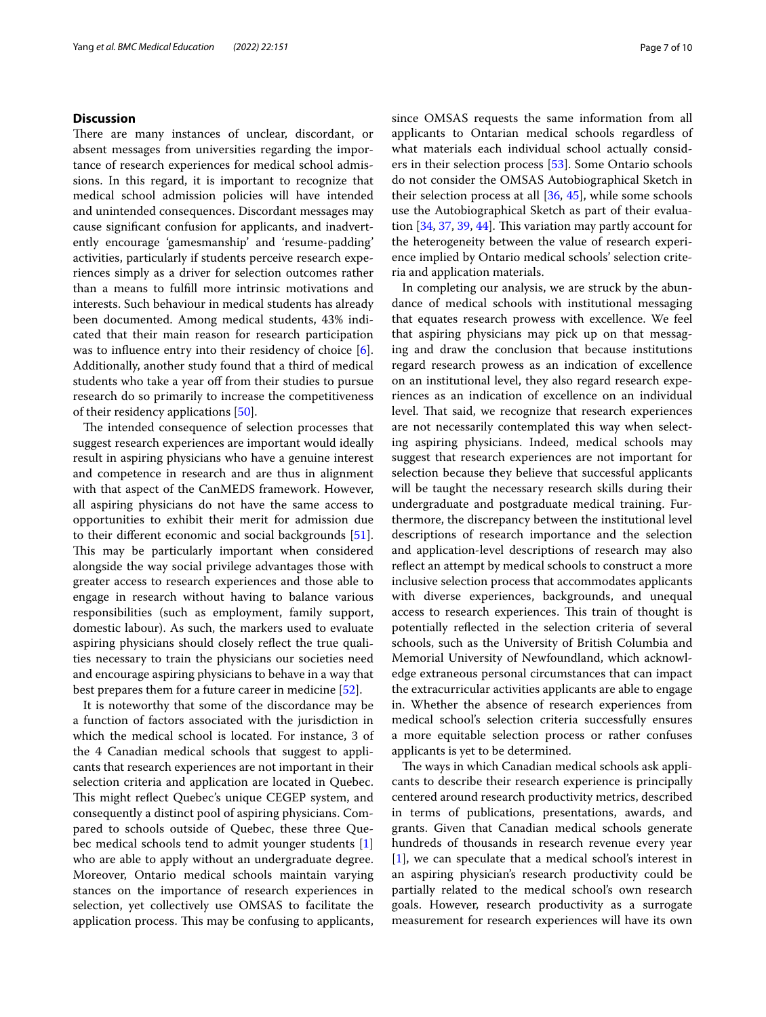## **Discussion**

There are many instances of unclear, discordant, or absent messages from universities regarding the importance of research experiences for medical school admissions. In this regard, it is important to recognize that medical school admission policies will have intended and unintended consequences. Discordant messages may cause signifcant confusion for applicants, and inadvertently encourage 'gamesmanship' and 'resume-padding' activities, particularly if students perceive research experiences simply as a driver for selection outcomes rather than a means to fulfll more intrinsic motivations and interests. Such behaviour in medical students has already been documented. Among medical students, 43% indicated that their main reason for research participation was to infuence entry into their residency of choice [\[6](#page-8-5)]. Additionally, another study found that a third of medical students who take a year off from their studies to pursue research do so primarily to increase the competitiveness of their residency applications [[50\]](#page-9-2).

The intended consequence of selection processes that suggest research experiences are important would ideally result in aspiring physicians who have a genuine interest and competence in research and are thus in alignment with that aspect of the CanMEDS framework. However, all aspiring physicians do not have the same access to opportunities to exhibit their merit for admission due to their diferent economic and social backgrounds [\[51](#page-9-3)]. This may be particularly important when considered alongside the way social privilege advantages those with greater access to research experiences and those able to engage in research without having to balance various responsibilities (such as employment, family support, domestic labour). As such, the markers used to evaluate aspiring physicians should closely refect the true qualities necessary to train the physicians our societies need and encourage aspiring physicians to behave in a way that best prepares them for a future career in medicine [[52](#page-9-4)].

It is noteworthy that some of the discordance may be a function of factors associated with the jurisdiction in which the medical school is located. For instance, 3 of the 4 Canadian medical schools that suggest to applicants that research experiences are not important in their selection criteria and application are located in Quebec. This might reflect Quebec's unique CEGEP system, and consequently a distinct pool of aspiring physicians. Compared to schools outside of Quebec, these three Quebec medical schools tend to admit younger students [\[1](#page-8-0)] who are able to apply without an undergraduate degree. Moreover, Ontario medical schools maintain varying stances on the importance of research experiences in selection, yet collectively use OMSAS to facilitate the application process. This may be confusing to applicants, since OMSAS requests the same information from all applicants to Ontarian medical schools regardless of what materials each individual school actually considers in their selection process [[53\]](#page-9-5). Some Ontario schools do not consider the OMSAS Autobiographical Sketch in their selection process at all [[36,](#page-8-26) [45\]](#page-8-19), while some schools use the Autobiographical Sketch as part of their evaluation  $[34, 37, 39, 44]$  $[34, 37, 39, 44]$  $[34, 37, 39, 44]$  $[34, 37, 39, 44]$  $[34, 37, 39, 44]$  $[34, 37, 39, 44]$ . This variation may partly account for the heterogeneity between the value of research experience implied by Ontario medical schools' selection criteria and application materials.

In completing our analysis, we are struck by the abundance of medical schools with institutional messaging that equates research prowess with excellence. We feel that aspiring physicians may pick up on that messaging and draw the conclusion that because institutions regard research prowess as an indication of excellence on an institutional level, they also regard research experiences as an indication of excellence on an individual level. That said, we recognize that research experiences are not necessarily contemplated this way when selecting aspiring physicians. Indeed, medical schools may suggest that research experiences are not important for selection because they believe that successful applicants will be taught the necessary research skills during their undergraduate and postgraduate medical training. Furthermore, the discrepancy between the institutional level descriptions of research importance and the selection and application-level descriptions of research may also refect an attempt by medical schools to construct a more inclusive selection process that accommodates applicants with diverse experiences, backgrounds, and unequal access to research experiences. This train of thought is potentially refected in the selection criteria of several schools, such as the University of British Columbia and Memorial University of Newfoundland, which acknowledge extraneous personal circumstances that can impact the extracurricular activities applicants are able to engage in. Whether the absence of research experiences from medical school's selection criteria successfully ensures a more equitable selection process or rather confuses applicants is yet to be determined.

The ways in which Canadian medical schools ask applicants to describe their research experience is principally centered around research productivity metrics, described in terms of publications, presentations, awards, and grants. Given that Canadian medical schools generate hundreds of thousands in research revenue every year [[1\]](#page-8-0), we can speculate that a medical school's interest in an aspiring physician's research productivity could be partially related to the medical school's own research goals. However, research productivity as a surrogate measurement for research experiences will have its own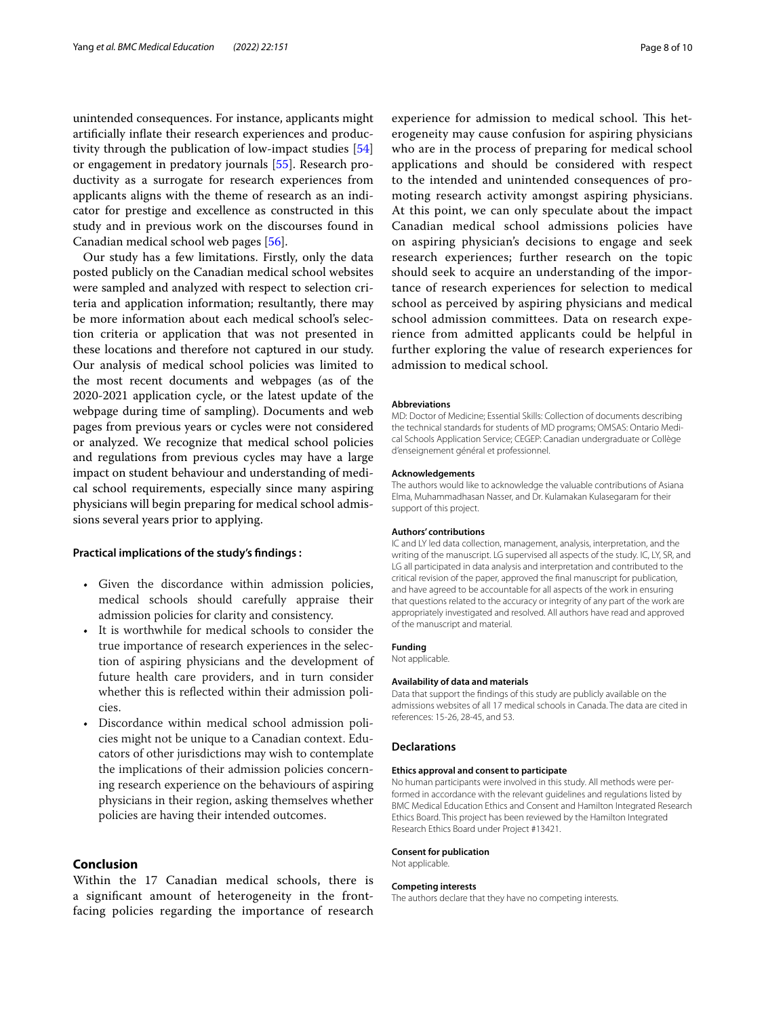unintended consequences. For instance, applicants might artifcially infate their research experiences and productivity through the publication of low-impact studies [[54](#page-9-6)] or engagement in predatory journals [[55\]](#page-9-7). Research productivity as a surrogate for research experiences from applicants aligns with the theme of research as an indicator for prestige and excellence as constructed in this study and in previous work on the discourses found in Canadian medical school web pages [[56](#page-9-8)].

Our study has a few limitations. Firstly, only the data posted publicly on the Canadian medical school websites were sampled and analyzed with respect to selection criteria and application information; resultantly, there may be more information about each medical school's selection criteria or application that was not presented in these locations and therefore not captured in our study. Our analysis of medical school policies was limited to the most recent documents and webpages (as of the 2020-2021 application cycle, or the latest update of the webpage during time of sampling). Documents and web pages from previous years or cycles were not considered or analyzed. We recognize that medical school policies and regulations from previous cycles may have a large impact on student behaviour and understanding of medical school requirements, especially since many aspiring physicians will begin preparing for medical school admissions several years prior to applying.

## **Practical implications of the study's fndings :**

- Given the discordance within admission policies, medical schools should carefully appraise their admission policies for clarity and consistency.
- It is worthwhile for medical schools to consider the true importance of research experiences in the selection of aspiring physicians and the development of future health care providers, and in turn consider whether this is refected within their admission policies.
- Discordance within medical school admission policies might not be unique to a Canadian context. Educators of other jurisdictions may wish to contemplate the implications of their admission policies concerning research experience on the behaviours of aspiring physicians in their region, asking themselves whether policies are having their intended outcomes.

## **Conclusion**

Within the 17 Canadian medical schools, there is a signifcant amount of heterogeneity in the frontfacing policies regarding the importance of research experience for admission to medical school. This heterogeneity may cause confusion for aspiring physicians who are in the process of preparing for medical school applications and should be considered with respect to the intended and unintended consequences of promoting research activity amongst aspiring physicians. At this point, we can only speculate about the impact Canadian medical school admissions policies have on aspiring physician's decisions to engage and seek research experiences; further research on the topic should seek to acquire an understanding of the importance of research experiences for selection to medical school as perceived by aspiring physicians and medical school admission committees. Data on research experience from admitted applicants could be helpful in further exploring the value of research experiences for admission to medical school.

#### **Abbreviations**

MD: Doctor of Medicine; Essential Skills: Collection of documents describing the technical standards for students of MD programs; OMSAS: Ontario Medical Schools Application Service; CEGEP: Canadian undergraduate or Collège d'enseignement général et professionnel.

#### **Acknowledgements**

The authors would like to acknowledge the valuable contributions of Asiana Elma, Muhammadhasan Nasser, and Dr. Kulamakan Kulasegaram for their support of this project.

#### **Authors' contributions**

IC and LY led data collection, management, analysis, interpretation, and the writing of the manuscript. LG supervised all aspects of the study. IC, LY, SR, and LG all participated in data analysis and interpretation and contributed to the critical revision of the paper, approved the fnal manuscript for publication, and have agreed to be accountable for all aspects of the work in ensuring that questions related to the accuracy or integrity of any part of the work are appropriately investigated and resolved. All authors have read and approved of the manuscript and material.

## **Funding**

Not applicable.

#### **Availability of data and materials**

Data that support the fndings of this study are publicly available on the admissions websites of all 17 medical schools in Canada. The data are cited in references: 15-26, 28-45, and 53.

#### **Declarations**

#### **Ethics approval and consent to participate**

No human participants were involved in this study. All methods were performed in accordance with the relevant guidelines and regulations listed by BMC Medical Education Ethics and Consent and Hamilton Integrated Research Ethics Board. This project has been reviewed by the Hamilton Integrated Research Ethics Board under Project #13421.

#### **Consent for publication**

Not applicable.

#### **Competing interests**

The authors declare that they have no competing interests.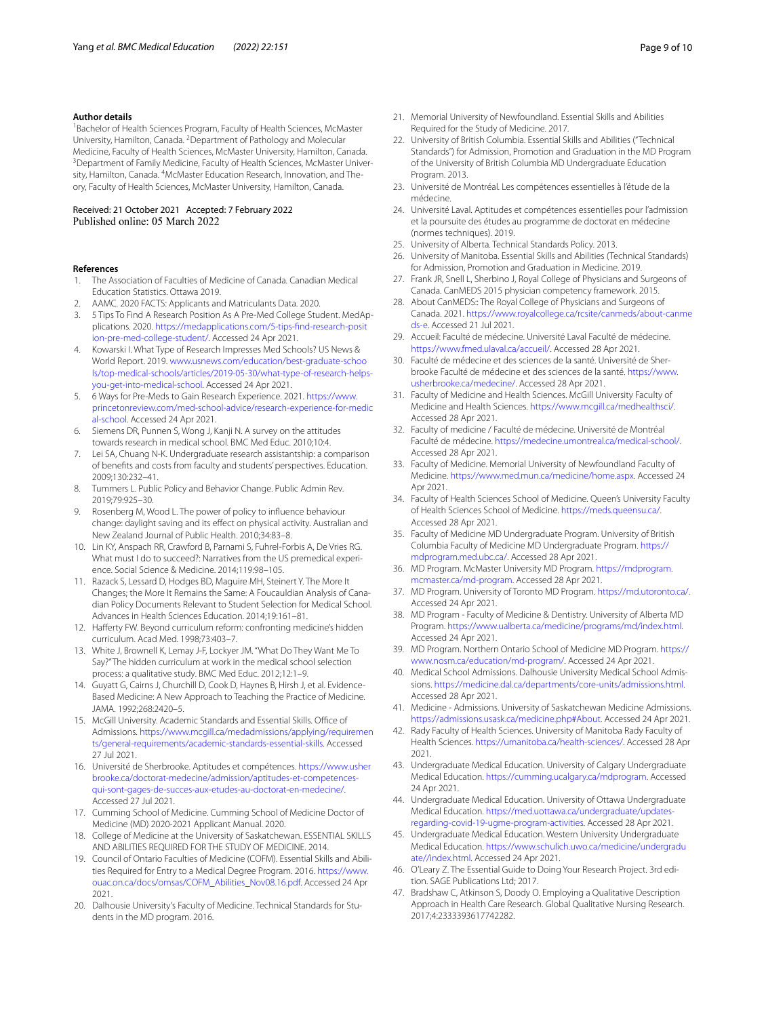#### **Author details**

<sup>1</sup> Bachelor of Health Sciences Program, Faculty of Health Sciences, McMaster University, Hamilton, Canada. <sup>2</sup> Department of Pathology and Molecular Medicine, Faculty of Health Sciences, McMaster University, Hamilton, Canada. 3 <sup>3</sup> Department of Family Medicine, Faculty of Health Sciences, McMaster University, Hamilton, Canada. <sup>4</sup>McMaster Education Research, Innovation, and Theory, Faculty of Health Sciences, McMaster University, Hamilton, Canada.

Received: 21 October 2021 Accepted: 7 February 2022<br>Published online: 05 March 2022

#### **References**

- <span id="page-8-0"></span>1. The Association of Faculties of Medicine of Canada. Canadian Medical Education Statistics. Ottawa 2019.
- <span id="page-8-1"></span>2. AAMC. 2020 FACTS: Applicants and Matriculants Data. 2020.
- <span id="page-8-2"></span>3. 5 Tips To Find A Research Position As A Pre-Med College Student. MedApplications. 2020. [https://medapplications.com/5-tips-fnd-research-posit](https://medapplications.com/5-tips-find-research-position-pre-med-college-student/) [ion-pre-med-college-student/](https://medapplications.com/5-tips-find-research-position-pre-med-college-student/). Accessed 24 Apr 2021.
- <span id="page-8-3"></span>4. Kowarski I. What Type of Research Impresses Med Schools? US News & World Report. 2019. [www.usnews.com/education/best-graduate-schoo](http://www.usnews.com/education/best-graduate-schools/top-medical-schools/articles/2019-05-30/what-type-of-research-helps-you-get-into-medical-school) [ls/top-medical-schools/articles/2019-05-30/what-type-of-research-helps](http://www.usnews.com/education/best-graduate-schools/top-medical-schools/articles/2019-05-30/what-type-of-research-helps-you-get-into-medical-school)[you-get-into-medical-school](http://www.usnews.com/education/best-graduate-schools/top-medical-schools/articles/2019-05-30/what-type-of-research-helps-you-get-into-medical-school). Accessed 24 Apr 2021.
- <span id="page-8-4"></span>5. 6 Ways for Pre-Meds to Gain Research Experience. 2021. [https://www.](https://www.princetonreview.com/med-school-advice/research-experience-for-medical-school) [princetonreview.com/med-school-advice/research-experience-for-medic](https://www.princetonreview.com/med-school-advice/research-experience-for-medical-school) [al-school.](https://www.princetonreview.com/med-school-advice/research-experience-for-medical-school) Accessed 24 Apr 2021.
- <span id="page-8-5"></span>6. Siemens DR, Punnen S, Wong J, Kanji N. A survey on the attitudes towards research in medical school. BMC Med Educ. 2010;10:4.
- <span id="page-8-6"></span>7. Lei SA, Chuang N-K. Undergraduate research assistantship: a comparison of benefts and costs from faculty and students' perspectives. Education. 2009;130:232–41.
- <span id="page-8-7"></span>8. Tummers L. Public Policy and Behavior Change. Public Admin Rev. 2019;79:925–30.
- <span id="page-8-8"></span>9. Rosenberg M, Wood L. The power of policy to infuence behaviour change: daylight saving and its efect on physical activity. Australian and New Zealand Journal of Public Health. 2010;34:83–8.
- <span id="page-8-9"></span>10. Lin KY, Anspach RR, Crawford B, Parnami S, Fuhrel-Forbis A, De Vries RG. What must I do to succeed?: Narratives from the US premedical experience. Social Science & Medicine. 2014;119:98–105.
- <span id="page-8-10"></span>11. Razack S, Lessard D, Hodges BD, Maguire MH, Steinert Y. The More It Changes; the More It Remains the Same: A Foucauldian Analysis of Canadian Policy Documents Relevant to Student Selection for Medical School. Advances in Health Sciences Education. 2014;19:161–81.
- <span id="page-8-11"></span>12. Hafferty FW. Beyond curriculum reform: confronting medicine's hidden curriculum. Acad Med. 1998;73:403–7.
- <span id="page-8-12"></span>13. White J, Brownell K, Lemay J-F, Lockyer JM. "What Do They Want Me To Say?" The hidden curriculum at work in the medical school selection process: a qualitative study. BMC Med Educ. 2012;12:1–9.
- <span id="page-8-13"></span>14. Guyatt G, Cairns J, Churchill D, Cook D, Haynes B, Hirsh J, et al. Evidence-Based Medicine: A New Approach to Teaching the Practice of Medicine. JAMA. 1992;268:2420–5.
- <span id="page-8-14"></span>15. McGill University. Academic Standards and Essential Skills. Office of Admissions. [https://www.mcgill.ca/medadmissions/applying/requiremen](https://www.mcgill.ca/medadmissions/applying/requirements/general-requirements/academic-standards-essential-skills) [ts/general-requirements/academic-standards-essential-skills](https://www.mcgill.ca/medadmissions/applying/requirements/general-requirements/academic-standards-essential-skills). Accessed 27 Jul 2021.
- 16. Université de Sherbrooke. Aptitudes et compétences. [https://www.usher](https://www.usherbrooke.ca/doctorat-medecine/admission/aptitudes-et-competences-qui-sont-gages-de-succes-aux-etudes-au-doctorat-en-medecine/) [brooke.ca/doctorat-medecine/admission/aptitudes-et-competences](https://www.usherbrooke.ca/doctorat-medecine/admission/aptitudes-et-competences-qui-sont-gages-de-succes-aux-etudes-au-doctorat-en-medecine/)[qui-sont-gages-de-succes-aux-etudes-au-doctorat-en-medecine/.](https://www.usherbrooke.ca/doctorat-medecine/admission/aptitudes-et-competences-qui-sont-gages-de-succes-aux-etudes-au-doctorat-en-medecine/) Accessed 27 Jul 2021.
- 17. Cumming School of Medicine. Cumming School of Medicine Doctor of Medicine (MD) 2020-2021 Applicant Manual. 2020.
- 18. College of Medicine at the University of Saskatchewan. ESSENTIAL SKILLS AND ABILITIES REQUIRED FOR THE STUDY OF MEDICINE. 2014.
- 19. Council of Ontario Faculties of Medicine (COFM). Essential Skills and Abilities Required for Entry to a Medical Degree Program. 2016. [https://www.](https://www.ouac.on.ca/docs/omsas/COFM_Abilities_Nov08.16.pdf) [ouac.on.ca/docs/omsas/COFM\\_Abilities\\_Nov08.16.pdf.](https://www.ouac.on.ca/docs/omsas/COFM_Abilities_Nov08.16.pdf) Accessed 24 Apr 2021.
- 20. Dalhousie University's Faculty of Medicine. Technical Standards for Students in the MD program. 2016.
- 21. Memorial University of Newfoundland. Essential Skills and Abilities Required for the Study of Medicine. 2017.
- 22. University of British Columbia. Essential Skills and Abilities ("Technical Standards") for Admission, Promotion and Graduation in the MD Program of the University of British Columbia MD Undergraduate Education Program. 2013.
- 23. Université de Montréal. Les compétences essentielles à l'étude de la médecine.
- 24. Université Laval. Aptitudes et compétences essentielles pour l'admission et la poursuite des études au programme de doctorat en médecine (normes techniques). 2019.
- 25. University of Alberta. Technical Standards Policy. 2013.
- <span id="page-8-15"></span>26. University of Manitoba. Essential Skills and Abilities (Technical Standards) for Admission, Promotion and Graduation in Medicine. 2019.
- <span id="page-8-16"></span>27. Frank JR, Snell L, Sherbino J, Royal College of Physicians and Surgeons of Canada. CanMEDS 2015 physician competency framework. 2015.
- <span id="page-8-17"></span>28. About CanMEDS:: The Royal College of Physicians and Surgeons of Canada. 2021. [https://www.royalcollege.ca/rcsite/canmeds/about-canme](https://www.royalcollege.ca/rcsite/canmeds/about-canmeds-e) [ds-e.](https://www.royalcollege.ca/rcsite/canmeds/about-canmeds-e) Accessed 21 Jul 2021.
- <span id="page-8-18"></span>29. Accueil: Faculté de médecine. Université Laval Faculté de médecine. [https://www.fmed.ulaval.ca/accueil/.](https://www.fmed.ulaval.ca/accueil/) Accessed 28 Apr 2021.
- 30. Faculté de médecine et des sciences de la santé. Université de Sherbrooke Faculté de médecine et des sciences de la santé. [https://www.](https://www.usherbrooke.ca/medecine/) [usherbrooke.ca/medecine/.](https://www.usherbrooke.ca/medecine/) Accessed 28 Apr 2021.
- <span id="page-8-24"></span>31. Faculty of Medicine and Health Sciences. McGill University Faculty of Medicine and Health Sciences. [https://www.mcgill.ca/medhealthsci/.](https://www.mcgill.ca/medhealthsci/) Accessed 28 Apr 2021.
- 32. Faculty of medicine / Faculté de médecine. Université de Montréal Faculté de médecine. [https://medecine.umontreal.ca/medical-school/.](https://medecine.umontreal.ca/medical-school/) Accessed 28 Apr 2021.
- 33. Faculty of Medicine. Memorial University of Newfoundland Faculty of Medicine.<https://www.med.mun.ca/medicine/home.aspx>. Accessed 24 Apr 2021.
- <span id="page-8-27"></span>34. Faculty of Health Sciences School of Medicine. Queen's University Faculty of Health Sciences School of Medicine.<https://meds.queensu.ca/>. Accessed 28 Apr 2021.
- 35. Faculty of Medicine MD Undergraduate Program. University of British Columbia Faculty of Medicine MD Undergraduate Program. [https://](https://mdprogram.med.ubc.ca/) [mdprogram.med.ubc.ca/](https://mdprogram.med.ubc.ca/). Accessed 28 Apr 2021.
- <span id="page-8-26"></span>36. MD Program. McMaster University MD Program. [https://mdprogram.](https://mdprogram.mcmaster.ca/md-program) [mcmaster.ca/md-program.](https://mdprogram.mcmaster.ca/md-program) Accessed 28 Apr 2021.
- <span id="page-8-22"></span>37. MD Program. University of Toronto MD Program. [https://md.utoronto.ca/.](https://md.utoronto.ca/) Accessed 24 Apr 2021.
- 38. MD Program Faculty of Medicine & Dentistry. University of Alberta MD Program.<https://www.ualberta.ca/medicine/programs/md/index.html>. Accessed 24 Apr 2021.
- <span id="page-8-28"></span>39. MD Program. Northern Ontario School of Medicine MD Program. [https://](https://www.nosm.ca/education/md-program/) [www.nosm.ca/education/md-program/.](https://www.nosm.ca/education/md-program/) Accessed 24 Apr 2021.
- 40. Medical School Admissions. Dalhousie University Medical School Admissions. [https://medicine.dal.ca/departments/core-units/admissions.html.](https://medicine.dal.ca/departments/core-units/admissions.html) Accessed 28 Apr 2021.
- 41. Medicine Admissions. University of Saskatchewan Medicine Admissions. <https://admissions.usask.ca/medicine.php#About>. Accessed 24 Apr 2021.
- 42. Rady Faculty of Health Sciences. University of Manitoba Rady Faculty of Health Sciences. [https://umanitoba.ca/health-sciences/.](https://umanitoba.ca/health-sciences/) Accessed 28 Apr 2021.
- <span id="page-8-23"></span>43. Undergraduate Medical Education. University of Calgary Undergraduate Medical Education. [https://cumming.ucalgary.ca/mdprogram.](https://cumming.ucalgary.ca/mdprogram) Accessed 24 Apr 2021.
- <span id="page-8-25"></span>44. Undergraduate Medical Education. University of Ottawa Undergraduate Medical Education. [https://med.uottawa.ca/undergraduate/updates](https://med.uottawa.ca/undergraduate/updates-regarding-covid-19-ugme-program-activities)[regarding-covid-19-ugme-program-activities.](https://med.uottawa.ca/undergraduate/updates-regarding-covid-19-ugme-program-activities) Accessed 28 Apr 2021.
- <span id="page-8-19"></span>45. Undergraduate Medical Education. Western University Undergraduate Medical Education. [https://www.schulich.uwo.ca/medicine/undergradu](https://www.schulich.uwo.ca/medicine/undergraduate//index.html) [ate//index.html](https://www.schulich.uwo.ca/medicine/undergraduate//index.html). Accessed 24 Apr 2021.
- <span id="page-8-20"></span>46. O'Leary Z. The Essential Guide to Doing Your Research Project. 3rd edition. SAGE Publications Ltd; 2017.
- <span id="page-8-21"></span>47. Bradshaw C, Atkinson S, Doody O. Employing a Qualitative Description Approach in Health Care Research. Global Qualitative Nursing Research. 2017;4:2333393617742282.